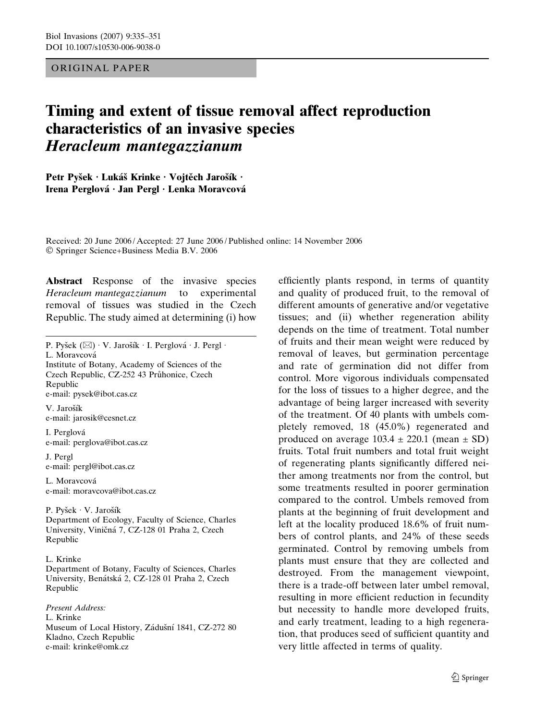## ORIGINAL PAPER

# Timing and extent of tissue removal affect reproduction characteristics of an invasive species Heracleum mantegazzianum

Petr Pyšek · Lukáš Krinke · Vojtěch Jarošík · Irena Perglová · Jan Pergl · Lenka Moravcová

Received: 20 June 2006 / Accepted: 27 June 2006 / Published online: 14 November 2006 Springer Science+Business Media B.V. 2006

Abstract Response of the invasive species Heracleum mantegazzianum to experimental removal of tissues was studied in the Czech Republic. The study aimed at determining (i) how

P. Pyšek  $(\boxtimes) \cdot V$ . Jarošík  $\cdot$  I. Perglová  $\cdot$  J. Pergl  $\cdot$ 

L. Moravcová

Institute of Botany, Academy of Sciences of the Czech Republic, CZ-252 43 Průhonice, Czech Republic e-mail: pysek@ibot.cas.cz

V. Jarošík e-mail: jarosik@cesnet.cz

I. Perglova´ e-mail: perglova@ibot.cas.cz

J. Pergl e-mail: pergl@ibot.cas.cz

L. Moravcová e-mail: moravcova@ibot.cas.cz

P. Pyšek · V. Jarošík Department of Ecology, Faculty of Science, Charles University, Viničná 7, CZ-128 01 Praha 2, Czech Republic

#### L. Krinke

Department of Botany, Faculty of Sciences, Charles University, Benátská 2, CZ-128 01 Praha 2, Czech Republic

Present Address: L. Krinke Museum of Local History, Zádušní 1841, CZ-272 80 Kladno, Czech Republic e-mail: krinke@omk.cz

efficiently plants respond, in terms of quantity and quality of produced fruit, to the removal of different amounts of generative and/or vegetative tissues; and (ii) whether regeneration ability depends on the time of treatment. Total number of fruits and their mean weight were reduced by removal of leaves, but germination percentage and rate of germination did not differ from control. More vigorous individuals compensated for the loss of tissues to a higher degree, and the advantage of being larger increased with severity of the treatment. Of 40 plants with umbels completely removed, 18 (45.0%) regenerated and produced on average  $103.4 \pm 220.1$  (mean  $\pm$  SD) fruits. Total fruit numbers and total fruit weight of regenerating plants significantly differed neither among treatments nor from the control, but some treatments resulted in poorer germination compared to the control. Umbels removed from plants at the beginning of fruit development and left at the locality produced 18.6% of fruit numbers of control plants, and 24% of these seeds germinated. Control by removing umbels from plants must ensure that they are collected and destroyed. From the management viewpoint, there is a trade-off between later umbel removal, resulting in more efficient reduction in fecundity but necessity to handle more developed fruits, and early treatment, leading to a high regeneration, that produces seed of sufficient quantity and very little affected in terms of quality.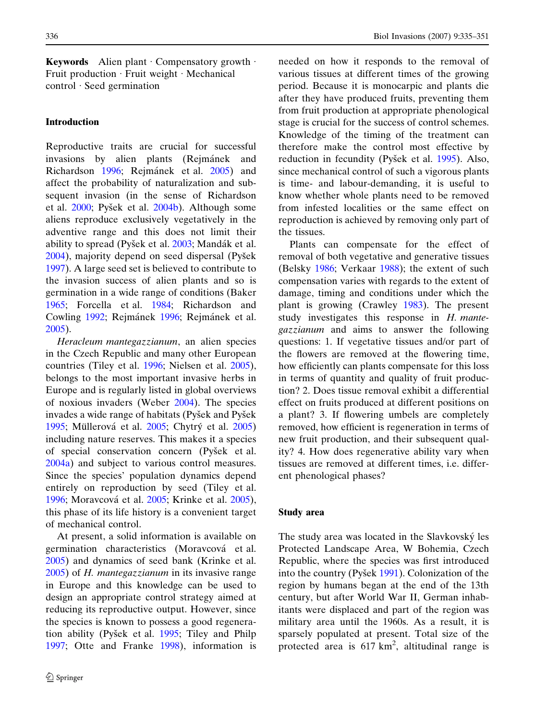**Keywords** Alien plant Compensatory growth  $\cdot$ Fruit production  $\cdot$  Fruit weight  $\cdot$  Mechanical  $control \cdot$  Seed germination

#### Introduction

Reproductive traits are crucial for successful invasions by alien plants (Rejmánek and Richardson [1996;](#page-16-0) Rejmánek et al. [2005](#page-16-0)) and affect the probability of naturalization and subsequent invasion (in the sense of Richardson et al. [2000](#page-16-0); Pyšek et al. [2004b](#page-16-0)). Although some aliens reproduce exclusively vegetatively in the adventive range and this does not limit their ability to spread (Pyšek et al. [2003](#page-16-0); Mandák et al.  $2004$ ), majority depend on seed dispersal (Pyšek [1997\)](#page-16-0). A large seed set is believed to contribute to the invasion success of alien plants and so is germination in a wide range of conditions (Baker [1965;](#page-15-0) Forcella et al. [1984](#page-15-0); Richardson and Cowling [1992](#page-16-0); Rejmánek [1996;](#page-16-0) Rejmánek et al. [2005\)](#page-16-0).

Heracleum mantegazzianum, an alien species in the Czech Republic and many other European countries (Tiley et al. [1996;](#page-16-0) Nielsen et al. [2005\)](#page-16-0), belongs to the most important invasive herbs in Europe and is regularly listed in global overviews of noxious invaders (Weber [2004](#page-16-0)). The species invades a wide range of habitats (Pyšek and Pyšek [1995;](#page-16-0) Müllerová et al. [2005](#page-15-0); Chytrý et al. 2005) including nature reserves. This makes it a species of special conservation concern (Pyšek et al. [2004a\)](#page-16-0) and subject to various control measures. Since the species' population dynamics depend entirely on reproduction by seed (Tiley et al. [1996;](#page-16-0) Moravcová et al. [2005](#page-16-0); Krinke et al. [2005\)](#page-15-0), this phase of its life history is a convenient target of mechanical control.

At present, a solid information is available on germination characteristics (Moravcová et al. [2005\)](#page-16-0) and dynamics of seed bank (Krinke et al. [2005\)](#page-15-0) of H. mantegazzianum in its invasive range in Europe and this knowledge can be used to design an appropriate control strategy aimed at reducing its reproductive output. However, since the species is known to possess a good regenera-tion ability (Pyšek et al. [1995](#page-16-0); Tiley and Philp [1997;](#page-16-0) Otte and Franke [1998\)](#page-16-0), information is needed on how it responds to the removal of various tissues at different times of the growing period. Because it is monocarpic and plants die after they have produced fruits, preventing them from fruit production at appropriate phenological stage is crucial for the success of control schemes. Knowledge of the timing of the treatment can therefore make the control most effective by reduction in fecundity (Pyšek et al. [1995\)](#page-16-0). Also, since mechanical control of such a vigorous plants is time- and labour-demanding, it is useful to know whether whole plants need to be removed from infested localities or the same effect on reproduction is achieved by removing only part of the tissues.

Plants can compensate for the effect of removal of both vegetative and generative tissues (Belsky [1986](#page-15-0); Verkaar [1988\)](#page-16-0); the extent of such compensation varies with regards to the extent of damage, timing and conditions under which the plant is growing (Crawley [1983\)](#page-15-0). The present study investigates this response in H. mantegazzianum and aims to answer the following questions: 1. If vegetative tissues and/or part of the flowers are removed at the flowering time, how efficiently can plants compensate for this loss in terms of quantity and quality of fruit production? 2. Does tissue removal exhibit a differential effect on fruits produced at different positions on a plant? 3. If flowering umbels are completely removed, how efficient is regeneration in terms of new fruit production, and their subsequent quality? 4. How does regenerative ability vary when tissues are removed at different times, i.e. different phenological phases?

#### Study area

The study area was located in the Slavkovský les Protected Landscape Area, W Bohemia, Czech Republic, where the species was first introduced into the country (Pyšek [1991](#page-16-0)). Colonization of the region by humans began at the end of the 13th century, but after World War II, German inhabitants were displaced and part of the region was military area until the 1960s. As a result, it is sparsely populated at present. Total size of the protected area is  $617 \text{ km}^2$ , altitudinal range is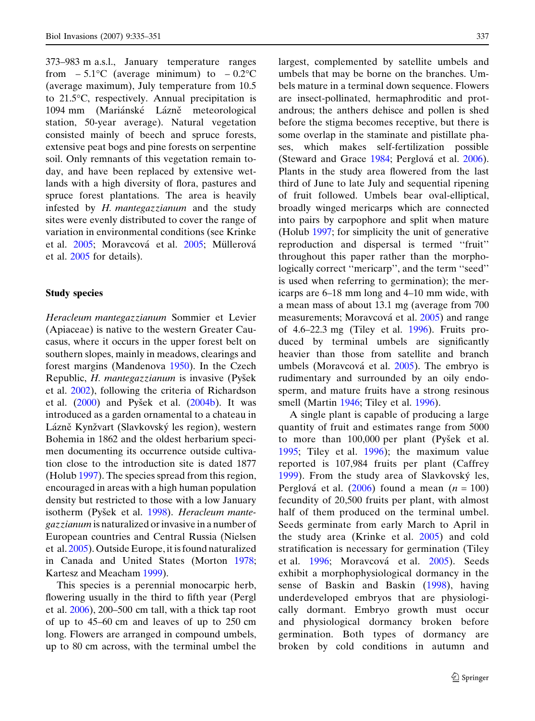373–983 m a.s.l., January temperature ranges from  $-5.1^{\circ}$ C (average minimum) to  $-0.2^{\circ}$ C (average maximum), July temperature from 10.5 to 21.5°C, respectively. Annual precipitation is 1094 mm (Mariánské Lázně meteorological station, 50-year average). Natural vegetation consisted mainly of beech and spruce forests, extensive peat bogs and pine forests on serpentine soil. Only remnants of this vegetation remain today, and have been replaced by extensive wetlands with a high diversity of flora, pastures and spruce forest plantations. The area is heavily infested by H. mantegazzianum and the study sites were evenly distributed to cover the range of variation in environmental conditions (see Krinke et al. [2005](#page-16-0); Moravcová et al. 2005; Müllerová et al. [2005](#page-16-0) for details).

## Study species

Heracleum mantegazzianum Sommier et Levier (Apiaceae) is native to the western Greater Caucasus, where it occurs in the upper forest belt on southern slopes, mainly in meadows, clearings and forest margins (Mandenova [1950\)](#page-15-0). In the Czech Republic, H. mantegazzianum is invasive (Pyšek et al. [2002\)](#page-16-0), following the criteria of Richardson et al.  $(2000)$  $(2000)$  and Pyšek et al.  $(2004b)$  $(2004b)$  $(2004b)$ . It was introduced as a garden ornamental to a chateau in Lázně Kynžvart (Slavkovský les region), western Bohemia in 1862 and the oldest herbarium specimen documenting its occurrence outside cultivation close to the introduction site is dated 1877 (Holub [1997](#page-15-0)). The species spread from this region, encouraged in areas with a high human population density but restricted to those with a low January isotherm (Pyšek et al. [1998\)](#page-16-0). Heracleum mantegazzianum is naturalized or invasive in a number of European countries and Central Russia (Nielsen et al. [2005](#page-16-0)). Outside Europe, it is found naturalized in Canada and United States (Morton [1978;](#page-16-0) Kartesz and Meacham [1999](#page-15-0)).

This species is a perennial monocarpic herb, flowering usually in the third to fifth year (Pergl et al. [2006](#page-16-0)), 200–500 cm tall, with a thick tap root of up to 45–60 cm and leaves of up to 250 cm long. Flowers are arranged in compound umbels, up to 80 cm across, with the terminal umbel the largest, complemented by satellite umbels and umbels that may be borne on the branches. Umbels mature in a terminal down sequence. Flowers are insect-pollinated, hermaphroditic and protandrous; the anthers dehisce and pollen is shed before the stigma becomes receptive, but there is some overlap in the staminate and pistillate phases, which makes self-fertilization possible (Steward and Grace [1984](#page-16-0); Perglová et al. [2006\)](#page-16-0). Plants in the study area flowered from the last third of June to late July and sequential ripening of fruit followed. Umbels bear oval-elliptical, broadly winged mericarps which are connected into pairs by carpophore and split when mature (Holub [1997](#page-15-0); for simplicity the unit of generative reproduction and dispersal is termed ''fruit'' throughout this paper rather than the morphologically correct ''mericarp'', and the term ''seed'' is used when referring to germination); the mericarps are 6–18 mm long and 4–10 mm wide, with a mean mass of about 13.1 mg (average from 700 measurements; Moravcová et al. [2005\)](#page-16-0) and range of 4.6–22.3 mg (Tiley et al. [1996\)](#page-16-0). Fruits produced by terminal umbels are significantly heavier than those from satellite and branch umbels (Moravcová et al. [2005\)](#page-16-0). The embryo is rudimentary and surrounded by an oily endosperm, and mature fruits have a strong resinous smell (Martin [1946](#page-15-0); Tiley et al. [1996\)](#page-16-0).

A single plant is capable of producing a large quantity of fruit and estimates range from 5000 to more than  $100,000$  per plant (Pyšek et al. [1995](#page-16-0); Tiley et al. [1996\)](#page-16-0); the maximum value reported is 107,984 fruits per plant (Caffrey [1999](#page-15-0)). From the study area of Slavkovský les, Perglová et al. ([2006](#page-16-0)) found a mean ( $n = 100$ ) fecundity of 20,500 fruits per plant, with almost half of them produced on the terminal umbel. Seeds germinate from early March to April in the study area (Krinke et al. [2005\)](#page-15-0) and cold stratification is necessary for germination (Tiley et al. [1996;](#page-16-0) Moravcová et al. [2005](#page-16-0)). Seeds exhibit a morphophysiological dormancy in the sense of Baskin and Baskin ([1998\)](#page-15-0), having underdeveloped embryos that are physiologically dormant. Embryo growth must occur and physiological dormancy broken before germination. Both types of dormancy are broken by cold conditions in autumn and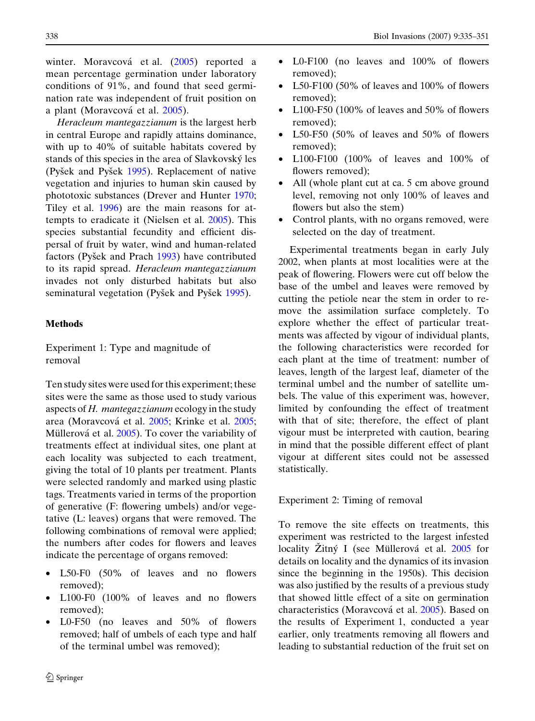winter. Moravcová et al. [\(2005\)](#page-16-0) reported a mean percentage germination under laboratory conditions of 91%, and found that seed germination rate was independent of fruit position on a plant (Moravcová et al. [2005\)](#page-16-0).

Heracleum mantegazzianum is the largest herb in central Europe and rapidly attains dominance, with up to 40% of suitable habitats covered by stands of this species in the area of Slavkovsky´ les (Pyšek and Pyšek [1995](#page-16-0)). Replacement of native vegetation and injuries to human skin caused by phototoxic substances (Drever and Hunter [1970;](#page-15-0) Tiley et al. [1996](#page-16-0)) are the main reasons for attempts to eradicate it (Nielsen et al. [2005](#page-16-0)). This species substantial fecundity and efficient dispersal of fruit by water, wind and human-related factors (Pyšek and Prach [1993](#page-16-0)) have contributed to its rapid spread. Heracleum mantegazzianum invades not only disturbed habitats but also seminatural vegetation (Pyšek and Pyšek [1995\)](#page-16-0).

# Methods

Experiment 1: Type and magnitude of removal

Ten study sites were used for this experiment; these sites were the same as those used to study various aspects of H. mantegazzianum ecology in the study area (Moravcová et al. [2005](#page-16-0); Krinke et al. [2005;](#page-15-0) Müllerová et al. [2005](#page-16-0)). To cover the variability of treatments effect at individual sites, one plant at each locality was subjected to each treatment, giving the total of 10 plants per treatment. Plants were selected randomly and marked using plastic tags. Treatments varied in terms of the proportion of generative (F: flowering umbels) and/or vegetative (L: leaves) organs that were removed. The following combinations of removal were applied; the numbers after codes for flowers and leaves indicate the percentage of organs removed:

- L50-F0 (50% of leaves and no flowers removed);
- L100-F0 (100% of leaves and no flowers removed);
- L0-F50 (no leaves and 50% of flowers removed; half of umbels of each type and half of the terminal umbel was removed);
- L0-F100 (no leaves and 100% of flowers removed);
- L50-F100 (50% of leaves and 100% of flowers removed);
- L100-F50 (100% of leaves and 50% of flowers removed);
- L50-F50 (50% of leaves and 50% of flowers removed);
- L100-F100 (100% of leaves and 100% of flowers removed);
- All (whole plant cut at ca. 5 cm above ground level, removing not only 100% of leaves and flowers but also the stem)
- Control plants, with no organs removed, were selected on the day of treatment.

Experimental treatments began in early July 2002, when plants at most localities were at the peak of flowering. Flowers were cut off below the base of the umbel and leaves were removed by cutting the petiole near the stem in order to remove the assimilation surface completely. To explore whether the effect of particular treatments was affected by vigour of individual plants, the following characteristics were recorded for each plant at the time of treatment: number of leaves, length of the largest leaf, diameter of the terminal umbel and the number of satellite umbels. The value of this experiment was, however, limited by confounding the effect of treatment with that of site; therefore, the effect of plant vigour must be interpreted with caution, bearing in mind that the possible different effect of plant vigour at different sites could not be assessed statistically.

Experiment 2: Timing of removal

To remove the site effects on treatments, this experiment was restricted to the largest infested locality  $\tilde{Z}$ itný I (see Müllerová et al.  $2005$  for details on locality and the dynamics of its invasion since the beginning in the 1950s). This decision was also justified by the results of a previous study that showed little effect of a site on germination characteristics (Moravcová et al. [2005](#page-16-0)). Based on the results of Experiment 1, conducted a year earlier, only treatments removing all flowers and leading to substantial reduction of the fruit set on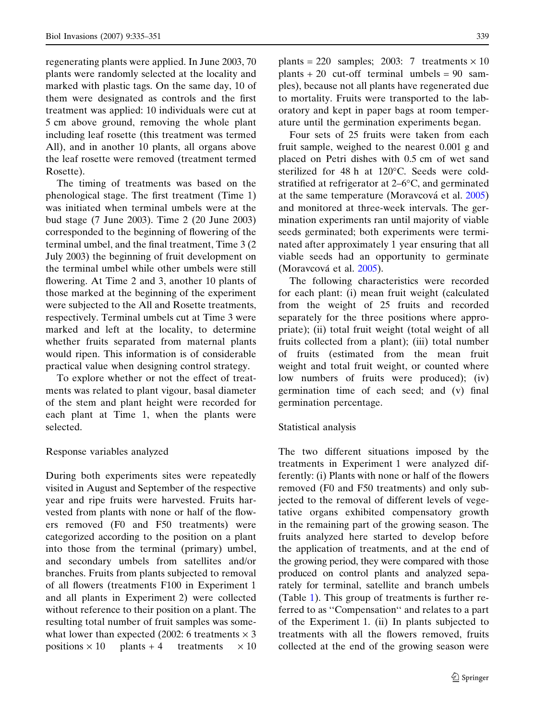regenerating plants were applied. In June 2003, 70 plants were randomly selected at the locality and marked with plastic tags. On the same day, 10 of them were designated as controls and the first treatment was applied: 10 individuals were cut at 5 cm above ground, removing the whole plant including leaf rosette (this treatment was termed All), and in another 10 plants, all organs above the leaf rosette were removed (treatment termed Rosette).

The timing of treatments was based on the phenological stage. The first treatment (Time 1) was initiated when terminal umbels were at the bud stage (7 June 2003). Time 2 (20 June 2003) corresponded to the beginning of flowering of the terminal umbel, and the final treatment, Time 3 (2 July 2003) the beginning of fruit development on the terminal umbel while other umbels were still flowering. At Time 2 and 3, another 10 plants of those marked at the beginning of the experiment were subjected to the All and Rosette treatments, respectively. Terminal umbels cut at Time 3 were marked and left at the locality, to determine whether fruits separated from maternal plants would ripen. This information is of considerable practical value when designing control strategy.

To explore whether or not the effect of treatments was related to plant vigour, basal diameter of the stem and plant height were recorded for each plant at Time 1, when the plants were selected.

## Response variables analyzed

During both experiments sites were repeatedly visited in August and September of the respective year and ripe fruits were harvested. Fruits harvested from plants with none or half of the flowers removed (F0 and F50 treatments) were categorized according to the position on a plant into those from the terminal (primary) umbel, and secondary umbels from satellites and/or branches. Fruits from plants subjected to removal of all flowers (treatments F100 in Experiment 1 and all plants in Experiment 2) were collected without reference to their position on a plant. The resulting total number of fruit samples was somewhat lower than expected (2002: 6 treatments  $\times$  3 positions  $\times$  10 plants + 4 treatments  $\times$  10 plants = 220 samples; 2003: 7 treatments  $\times$  10 plants  $+ 20$  cut-off terminal umbels  $= 90$  samples), because not all plants have regenerated due to mortality. Fruits were transported to the laboratory and kept in paper bags at room temperature until the germination experiments began.

Four sets of 25 fruits were taken from each fruit sample, weighed to the nearest 0.001 g and placed on Petri dishes with 0.5 cm of wet sand sterilized for  $48 h$  at  $120^{\circ}$ C. Seeds were coldstratified at refrigerator at  $2-6$ °C, and germinated at the same temperature (Moravcová et al. [2005](#page-16-0)) and monitored at three-week intervals. The germination experiments ran until majority of viable seeds germinated; both experiments were terminated after approximately 1 year ensuring that all viable seeds had an opportunity to germinate (Moravcová et al. [2005](#page-16-0)).

The following characteristics were recorded for each plant: (i) mean fruit weight (calculated from the weight of 25 fruits and recorded separately for the three positions where appropriate); (ii) total fruit weight (total weight of all fruits collected from a plant); (iii) total number of fruits (estimated from the mean fruit weight and total fruit weight, or counted where low numbers of fruits were produced); (iv) germination time of each seed; and (v) final germination percentage.

## Statistical analysis

The two different situations imposed by the treatments in Experiment 1 were analyzed differently: (i) Plants with none or half of the flowers removed (F0 and F50 treatments) and only subjected to the removal of different levels of vegetative organs exhibited compensatory growth in the remaining part of the growing season. The fruits analyzed here started to develop before the application of treatments, and at the end of the growing period, they were compared with those produced on control plants and analyzed separately for terminal, satellite and branch umbels (Table [1](#page-5-0)). This group of treatments is further referred to as ''Compensation'' and relates to a part of the Experiment 1. (ii) In plants subjected to treatments with all the flowers removed, fruits collected at the end of the growing season were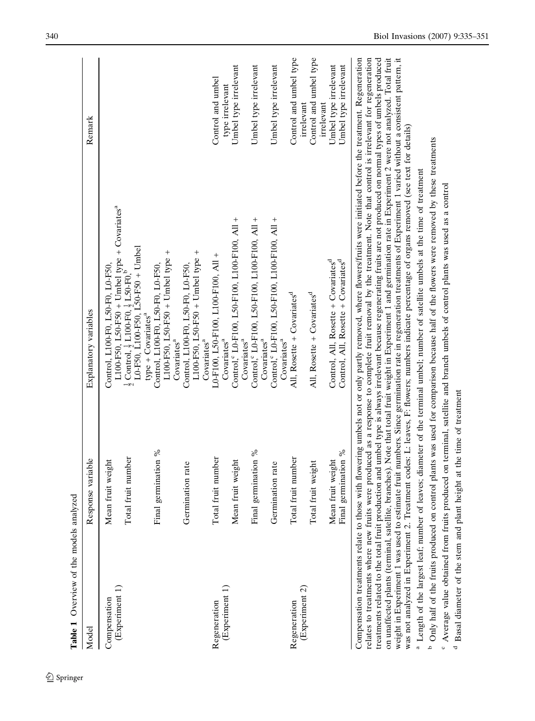<span id="page-5-0"></span>

| Response variable<br>Mean fruit weight<br>(Experiment 1)<br>Compensation<br>Model                                               |                     | Explanatory variables                                                                                                                                                                                                                                                                                                                                                                                                                                                                                                                                                                                                                                                                                                                                                                                                                                                                                                                                                                                                                                                                                                                                                                                                                                                                                                                                                                                            | Remark                                         |
|---------------------------------------------------------------------------------------------------------------------------------|---------------------|------------------------------------------------------------------------------------------------------------------------------------------------------------------------------------------------------------------------------------------------------------------------------------------------------------------------------------------------------------------------------------------------------------------------------------------------------------------------------------------------------------------------------------------------------------------------------------------------------------------------------------------------------------------------------------------------------------------------------------------------------------------------------------------------------------------------------------------------------------------------------------------------------------------------------------------------------------------------------------------------------------------------------------------------------------------------------------------------------------------------------------------------------------------------------------------------------------------------------------------------------------------------------------------------------------------------------------------------------------------------------------------------------------------|------------------------------------------------|
|                                                                                                                                 |                     |                                                                                                                                                                                                                                                                                                                                                                                                                                                                                                                                                                                                                                                                                                                                                                                                                                                                                                                                                                                                                                                                                                                                                                                                                                                                                                                                                                                                                  |                                                |
|                                                                                                                                 |                     | Control, L100-F0, L50-F0, L0-F50,                                                                                                                                                                                                                                                                                                                                                                                                                                                                                                                                                                                                                                                                                                                                                                                                                                                                                                                                                                                                                                                                                                                                                                                                                                                                                                                                                                                |                                                |
|                                                                                                                                 | Total fruit number  | L100-F50, L50-F50 + Umbel type + Covariates <sup>a</sup><br>$\frac{1}{2}$ Control, $\frac{1}{2}$ L100-F0, $\frac{1}{2}$ L50-F0,<br>L0-F50, L100-F50, L50-F50 + Umbel                                                                                                                                                                                                                                                                                                                                                                                                                                                                                                                                                                                                                                                                                                                                                                                                                                                                                                                                                                                                                                                                                                                                                                                                                                             |                                                |
|                                                                                                                                 |                     | $type + Covariatesa$                                                                                                                                                                                                                                                                                                                                                                                                                                                                                                                                                                                                                                                                                                                                                                                                                                                                                                                                                                                                                                                                                                                                                                                                                                                                                                                                                                                             |                                                |
|                                                                                                                                 | Final germination % | L100-F50, L50-F50 + Umbel type +<br>Control, L100-F0, L50-F0, L0-F50,                                                                                                                                                                                                                                                                                                                                                                                                                                                                                                                                                                                                                                                                                                                                                                                                                                                                                                                                                                                                                                                                                                                                                                                                                                                                                                                                            |                                                |
|                                                                                                                                 |                     | Covariates <sup>a</sup>                                                                                                                                                                                                                                                                                                                                                                                                                                                                                                                                                                                                                                                                                                                                                                                                                                                                                                                                                                                                                                                                                                                                                                                                                                                                                                                                                                                          |                                                |
| Germination rate                                                                                                                |                     | Control, L100-F0, L50-F0, L0-F50,                                                                                                                                                                                                                                                                                                                                                                                                                                                                                                                                                                                                                                                                                                                                                                                                                                                                                                                                                                                                                                                                                                                                                                                                                                                                                                                                                                                |                                                |
|                                                                                                                                 |                     | L100-F50, L50-F50 + Umbel type +<br>Covariates <sup>a</sup>                                                                                                                                                                                                                                                                                                                                                                                                                                                                                                                                                                                                                                                                                                                                                                                                                                                                                                                                                                                                                                                                                                                                                                                                                                                                                                                                                      |                                                |
| Regeneration                                                                                                                    | Total fruit number  | L0-F100, L50-F100, L100-F100, All +                                                                                                                                                                                                                                                                                                                                                                                                                                                                                                                                                                                                                                                                                                                                                                                                                                                                                                                                                                                                                                                                                                                                                                                                                                                                                                                                                                              | Control and umbel                              |
| (Experiment 1)                                                                                                                  |                     | Covariates <sup>a</sup>                                                                                                                                                                                                                                                                                                                                                                                                                                                                                                                                                                                                                                                                                                                                                                                                                                                                                                                                                                                                                                                                                                                                                                                                                                                                                                                                                                                          | type irrelevant                                |
| Mean fruit weight                                                                                                               |                     | Control, L0-F100, L50-F100, L100-F100, All +<br>Covariates <sup>a</sup>                                                                                                                                                                                                                                                                                                                                                                                                                                                                                                                                                                                                                                                                                                                                                                                                                                                                                                                                                                                                                                                                                                                                                                                                                                                                                                                                          | Umbel type irrelevant                          |
|                                                                                                                                 | Final germination % | Control, 2D-F100, L50-F100, L100-F100, All +                                                                                                                                                                                                                                                                                                                                                                                                                                                                                                                                                                                                                                                                                                                                                                                                                                                                                                                                                                                                                                                                                                                                                                                                                                                                                                                                                                     | Umbel type irrelevant                          |
| Germination rate                                                                                                                |                     | Control, CD-F100, L50-F100, L100-F100, All +<br>Covariates <sup>a</sup>                                                                                                                                                                                                                                                                                                                                                                                                                                                                                                                                                                                                                                                                                                                                                                                                                                                                                                                                                                                                                                                                                                                                                                                                                                                                                                                                          | Umbel type irrelevant                          |
|                                                                                                                                 |                     | Covariates <sup>a</sup>                                                                                                                                                                                                                                                                                                                                                                                                                                                                                                                                                                                                                                                                                                                                                                                                                                                                                                                                                                                                                                                                                                                                                                                                                                                                                                                                                                                          |                                                |
| Regeneration                                                                                                                    | Total fruit number  | All, Rosette + Covariates <sup>d</sup>                                                                                                                                                                                                                                                                                                                                                                                                                                                                                                                                                                                                                                                                                                                                                                                                                                                                                                                                                                                                                                                                                                                                                                                                                                                                                                                                                                           | Control and umbel type                         |
| (Experiment 2)                                                                                                                  |                     |                                                                                                                                                                                                                                                                                                                                                                                                                                                                                                                                                                                                                                                                                                                                                                                                                                                                                                                                                                                                                                                                                                                                                                                                                                                                                                                                                                                                                  | irrelevant                                     |
| Total fruit weight                                                                                                              |                     | All, Rosette + Covariates <sup>d</sup>                                                                                                                                                                                                                                                                                                                                                                                                                                                                                                                                                                                                                                                                                                                                                                                                                                                                                                                                                                                                                                                                                                                                                                                                                                                                                                                                                                           | Control and umbel type                         |
|                                                                                                                                 |                     |                                                                                                                                                                                                                                                                                                                                                                                                                                                                                                                                                                                                                                                                                                                                                                                                                                                                                                                                                                                                                                                                                                                                                                                                                                                                                                                                                                                                                  | irrelevant                                     |
| Mean fruit weight                                                                                                               | Final germination % | Control, All, Rosette + Covariates <sup>d</sup><br>Control, All, Rosette + Covariates <sup>d</sup>                                                                                                                                                                                                                                                                                                                                                                                                                                                                                                                                                                                                                                                                                                                                                                                                                                                                                                                                                                                                                                                                                                                                                                                                                                                                                                               | Umbel type irrelevant<br>Umbel type irrelevant |
| <sup>d</sup> Basal diameter of the stem and plant height at the time of treatment<br>weight in Experiment 1 was used to estimat |                     | on unaffected plants (terminal, satellite, branches). Note that total fruit weight in Experiment 1 and germination rate in Experiment 2 were not analyzed. Total fruit<br>Compensation treatments relate to those with flowering umbels not or only partly removed, where flowers/fruits were initiated before the treatment. Regeneration<br>relates to treatments where new fruits were produced as a response to complete fruit removal by the treatment. Note that control is irrelevant for regeneration<br>te fruit numbers. Since germination rate in regeneration treatments of Experiment 1 varied without a consistent pattern, it<br>treatments related to the total fruit production and umbel type is always irrelevant because regenerating fruits are not produced on normal types of umbels produced<br>was not analyzed in Experiment 2. Treatment codes: L: leaves, F: flowers; numbers indicate percentage of organs removed (see text for details)<br><sup>b</sup> Only half of the fruits produced on control plants was used for comparison because half of the flowers were removed by these treatments<br><sup>a</sup> Length of the largest leaf; number of leaves; diameter of the terminal umbel; number of satellite umbels at the time of treatment<br>Average value obtained from fruits produced on terminal, satellite and branch umbels of control plants was used as a control |                                                |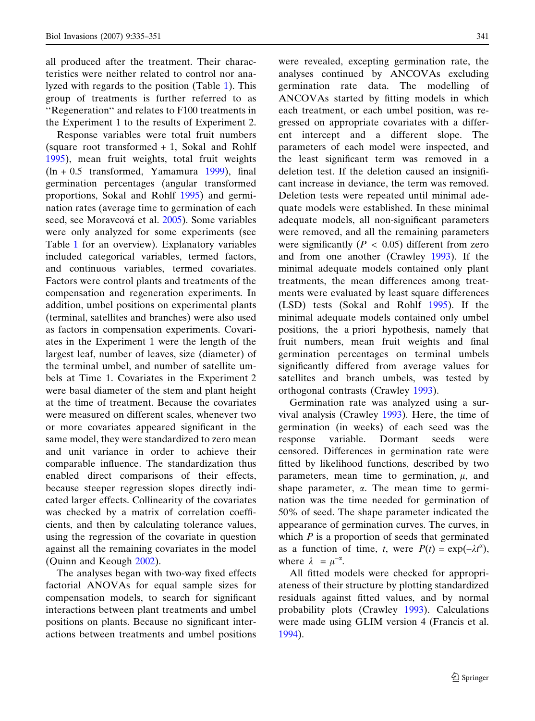all produced after the treatment. Their characteristics were neither related to control nor analyzed with regards to the position (Table [1\)](#page-5-0). This group of treatments is further referred to as ''Regeneration'' and relates to F100 treatments in the Experiment 1 to the results of Experiment 2.

Response variables were total fruit numbers (square root transformed + 1, Sokal and Rohlf [1995\)](#page-16-0), mean fruit weights, total fruit weights  $(ln + 0.5$  transformed, Yamamura [1999\)](#page-16-0), final germination percentages (angular transformed proportions, Sokal and Rohlf [1995](#page-16-0)) and germination rates (average time to germination of each seed, see Moravcová et al. [2005](#page-16-0)). Some variables were only analyzed for some experiments (see Table [1](#page-5-0) for an overview). Explanatory variables included categorical variables, termed factors, and continuous variables, termed covariates. Factors were control plants and treatments of the compensation and regeneration experiments. In addition, umbel positions on experimental plants (terminal, satellites and branches) were also used as factors in compensation experiments. Covariates in the Experiment 1 were the length of the largest leaf, number of leaves, size (diameter) of the terminal umbel, and number of satellite umbels at Time 1. Covariates in the Experiment 2 were basal diameter of the stem and plant height at the time of treatment. Because the covariates were measured on different scales, whenever two or more covariates appeared significant in the same model, they were standardized to zero mean and unit variance in order to achieve their comparable influence. The standardization thus enabled direct comparisons of their effects, because steeper regression slopes directly indicated larger effects. Collinearity of the covariates was checked by a matrix of correlation coefficients, and then by calculating tolerance values, using the regression of the covariate in question against all the remaining covariates in the model (Quinn and Keough [2002\)](#page-16-0).

The analyses began with two-way fixed effects factorial ANOVAs for equal sample sizes for compensation models, to search for significant interactions between plant treatments and umbel positions on plants. Because no significant interactions between treatments and umbel positions

were revealed, excepting germination rate, the analyses continued by ANCOVAs excluding germination rate data. The modelling of ANCOVAs started by fitting models in which each treatment, or each umbel position, was regressed on appropriate covariates with a different intercept and a different slope. The parameters of each model were inspected, and the least significant term was removed in a deletion test. If the deletion caused an insignificant increase in deviance, the term was removed. Deletion tests were repeated until minimal adequate models were established. In these minimal adequate models, all non-significant parameters were removed, and all the remaining parameters were significantly ( $P < 0.05$ ) different from zero and from one another (Crawley [1993](#page-15-0)). If the minimal adequate models contained only plant treatments, the mean differences among treatments were evaluated by least square differences (LSD) tests (Sokal and Rohlf [1995](#page-16-0)). If the minimal adequate models contained only umbel positions, the a priori hypothesis, namely that fruit numbers, mean fruit weights and final germination percentages on terminal umbels significantly differed from average values for satellites and branch umbels, was tested by orthogonal contrasts (Crawley [1993\)](#page-15-0).

Germination rate was analyzed using a survival analysis (Crawley [1993](#page-15-0)). Here, the time of germination (in weeks) of each seed was the response variable. Dormant seeds were censored. Differences in germination rate were fitted by likelihood functions, described by two parameters, mean time to germination,  $\mu$ , and shape parameter,  $\alpha$ . The mean time to germination was the time needed for germination of 50% of seed. The shape parameter indicated the appearance of germination curves. The curves, in which  $P$  is a proportion of seeds that germinated as a function of time, t, were  $P(t) = \exp(-\lambda t^{\alpha})$ , where  $\lambda = \mu^{-\alpha}$ .

All fitted models were checked for appropriateness of their structure by plotting standardized residuals against fitted values, and by normal probability plots (Crawley [1993](#page-15-0)). Calculations were made using GLIM version 4 (Francis et al. [1994\)](#page-15-0).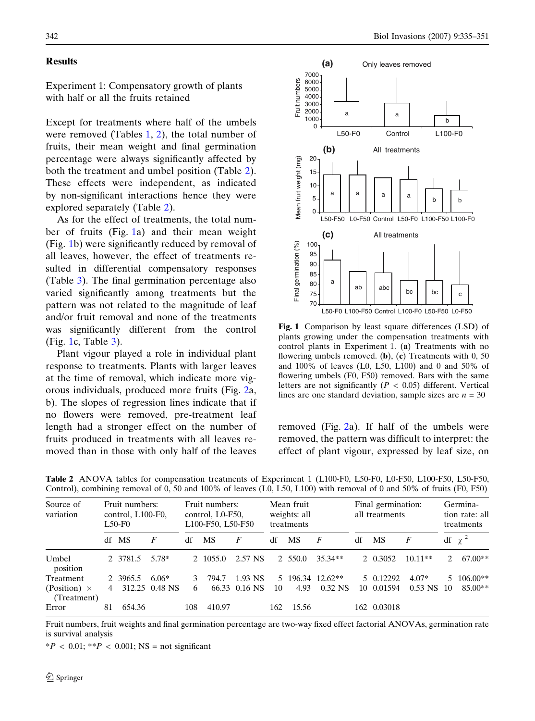### <span id="page-7-0"></span>**Results**

Experiment 1: Compensatory growth of plants with half or all the fruits retained

Except for treatments where half of the umbels were removed (Tables  $1, 2$  $1, 2$ ), the total number of fruits, their mean weight and final germination percentage were always significantly affected by both the treatment and umbel position (Table 2). These effects were independent, as indicated by non-significant interactions hence they were explored separately (Table 2).

As for the effect of treatments, the total number of fruits (Fig. 1a) and their mean weight (Fig. 1b) were significantly reduced by removal of all leaves, however, the effect of treatments resulted in differential compensatory responses (Table [3\)](#page-8-0). The final germination percentage also varied significantly among treatments but the pattern was not related to the magnitude of leaf and/or fruit removal and none of the treatments was significantly different from the control (Fig. 1c, Table [3\)](#page-8-0).

Plant vigour played a role in individual plant response to treatments. Plants with larger leaves at the time of removal, which indicate more vigorous individuals, produced more fruits (Fig. [2a](#page-9-0), b). The slopes of regression lines indicate that if no flowers were removed, pre-treatment leaf length had a stronger effect on the number of fruits produced in treatments with all leaves removed than in those with only half of the leaves



Fig. 1 Comparison by least square differences (LSD) of plants growing under the compensation treatments with control plants in Experiment 1. (a) Treatments with no flowering umbels removed. (b),  $(c)$  Treatments with 0, 50 and 100% of leaves (L0, L50, L100) and 0 and 50% of flowering umbels (F0, F50) removed. Bars with the same letters are not significantly ( $P < 0.05$ ) different. Vertical lines are one standard deviation, sample sizes are  $n = 30$ 

removed (Fig. [2](#page-9-0)a). If half of the umbels were removed, the pattern was difficult to interpret: the effect of plant vigour, expressed by leaf size, on

| Source of<br>variation | Fruit numbers:<br>control, L100-F0,<br>$L50-F0$ |          |                | Fruit numbers:<br>control, L0-F50,<br>L100-F50, L50-F50 |           |               | Mean fruit<br>weights: all<br>treatments |           |                  | Final germination:<br>all treatments |             |                |               | Germina-<br>tion rate: all<br>treatments |  |  |
|------------------------|-------------------------------------------------|----------|----------------|---------------------------------------------------------|-----------|---------------|------------------------------------------|-----------|------------------|--------------------------------------|-------------|----------------|---------------|------------------------------------------|--|--|
|                        |                                                 | df MS    | F              | df                                                      | <b>MS</b> | F             | df                                       | <b>MS</b> | F                | df                                   | <b>MS</b>   | F              |               | df $\chi^2$                              |  |  |
| Umbel<br>position      |                                                 | 2 3781.5 | 5.78*          |                                                         | 2 1055.0  | 2.57 NS       |                                          | 2 550.0   | $35.34**$        |                                      | 2 0.3052    | $10.11**$      | $\mathcal{L}$ | $67.00**$                                |  |  |
| Treatment              |                                                 | 2 3965.5 | $6.06*$        | 3                                                       | 794.7     | 1.93 NS       |                                          |           | 5 196.34 12.62** |                                      | 5 0.12292   | $4.07*$        | 5.            | $106.00**$                               |  |  |
| (Position) $\times$    |                                                 |          | 312.25 0.48 NS | 6                                                       |           | 66.33 0.16 NS | 10                                       | 4.93      | $0.32$ NS        |                                      | 10 0.01594  | $0.53$ NS $10$ |               | $85.00**$                                |  |  |
| (Treatment)            |                                                 |          |                |                                                         |           |               |                                          |           |                  |                                      |             |                |               |                                          |  |  |
| Error                  | 81                                              | 654.36   |                | 108                                                     | 410.97    |               | 162                                      | 15.56     |                  |                                      | 162 0.03018 |                |               |                                          |  |  |

Table 2 ANOVA tables for compensation treatments of Experiment 1 (L100-F0, L50-F0, L0-F50, L100-F50, L50-F50, Control), combining removal of 0, 50 and 100% of leaves (L0, L50, L100) with removal of 0 and 50% of fruits (F0, F50)

Fruit numbers, fruit weights and final germination percentage are two-way fixed effect factorial ANOVAs, germination rate is survival analysis

 $*P < 0.01$ ;  $*P < 0.001$ ; NS = not significant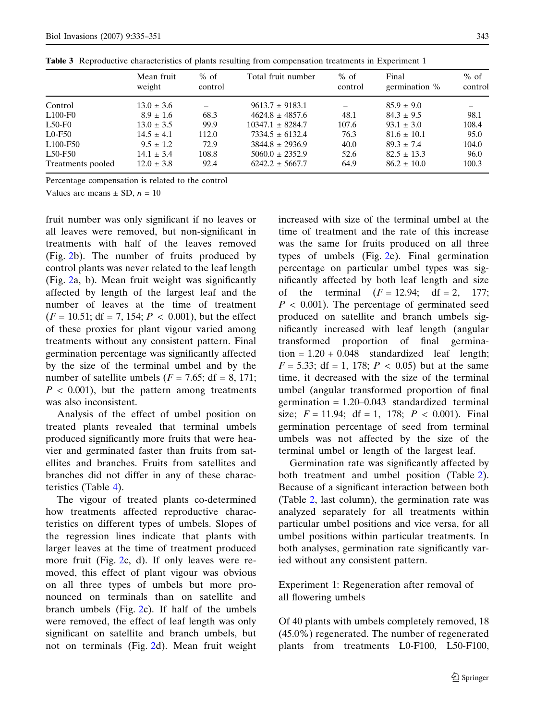|  |  | ŕ      |
|--|--|--------|
|  |  | ł<br>× |
|  |  |        |

|                                   | Mean fruit<br>weight | $%$ of<br>control | Total fruit number   | $%$ of<br>control | Final<br>germination % | $%$ of<br>control |
|-----------------------------------|----------------------|-------------------|----------------------|-------------------|------------------------|-------------------|
| Control                           | $13.0 \pm 3.6$       |                   | $9613.7 \pm 9183.1$  | $\qquad \qquad$   | $85.9 \pm 9.0$         |                   |
| $L100-F0$                         | $8.9 \pm 1.6$        | 68.3              | $4624.8 + 4857.6$    | 48.1              | $84.3 \pm 9.5$         | 98.1              |
| $L50-F0$                          | $13.0 \pm 3.5$       | 99.9              | $10347.1 \pm 8284.7$ | 107.6             | $93.1 \pm 3.0$         | 108.4             |
| $LO-F50$                          | $14.5 \pm 4.1$       | 112.0             | $7334.5 + 6132.4$    | 76.3              | $81.6 \pm 10.1$        | 95.0              |
| L <sub>100</sub> -F <sub>50</sub> | $9.5 \pm 1.2$        | 72.9              | $3844.8 \pm 2936.9$  | 40.0              | $89.3 + 7.4$           | 104.0             |
| L50-F50                           | $14.1 \pm 3.4$       | 108.8             | $5060.0 \pm 2352.9$  | 52.6              | $82.5 \pm 13.3$        | 96.0              |
| Treatments pooled                 | $12.0 \pm 3.8$       | 92.4              | $6242.2 \pm 5667.7$  | 64.9              | $86.2 \pm 10.0$        | 100.3             |

<span id="page-8-0"></span>Table 3 Reproductive characteristics of plants resulting from compensation treatments in Experiment 1

Percentage compensation is related to the control

Values are means  $\pm$  SD,  $n = 10$ 

fruit number was only significant if no leaves or all leaves were removed, but non-significant in treatments with half of the leaves removed (Fig. [2](#page-9-0)b). The number of fruits produced by control plants was never related to the leaf length (Fig. [2](#page-9-0)a, b). Mean fruit weight was significantly affected by length of the largest leaf and the number of leaves at the time of treatment  $(F = 10.51$ ; df = 7, 154;  $P < 0.001$ ), but the effect of these proxies for plant vigour varied among treatments without any consistent pattern. Final germination percentage was significantly affected by the size of the terminal umbel and by the number of satellite umbels ( $F = 7.65$ ; df = 8, 171;  $P < 0.001$ , but the pattern among treatments was also inconsistent.

Analysis of the effect of umbel position on treated plants revealed that terminal umbels produced significantly more fruits that were heavier and germinated faster than fruits from satellites and branches. Fruits from satellites and branches did not differ in any of these characteristics (Table [4](#page-10-0)).

The vigour of treated plants co-determined how treatments affected reproductive characteristics on different types of umbels. Slopes of the regression lines indicate that plants with larger leaves at the time of treatment produced more fruit (Fig. [2](#page-9-0)c, d). If only leaves were removed, this effect of plant vigour was obvious on all three types of umbels but more pronounced on terminals than on satellite and branch umbels (Fig. [2c](#page-9-0)). If half of the umbels were removed, the effect of leaf length was only significant on satellite and branch umbels, but not on terminals (Fig. [2](#page-9-0)d). Mean fruit weight increased with size of the terminal umbel at the time of treatment and the rate of this increase was the same for fruits produced on all three types of umbels (Fig. [2e](#page-9-0)). Final germination percentage on particular umbel types was significantly affected by both leaf length and size of the terminal  $(F = 12.94; df = 2, 177;$  $P < 0.001$ ). The percentage of germinated seed produced on satellite and branch umbels significantly increased with leaf length (angular transformed proportion of final germination =  $1.20 + 0.048$  standardized leaf length;  $F = 5.33$ ; df = 1, 178;  $P < 0.05$ ) but at the same time, it decreased with the size of the terminal umbel (angular transformed proportion of final germination = 1.20–0.043 standardized terminal size;  $F = 11.94$ ; df = 1, 178;  $P < 0.001$ ). Final germination percentage of seed from terminal umbels was not affected by the size of the terminal umbel or length of the largest leaf.

Germination rate was significantly affected by both treatment and umbel position (Table [2\)](#page-7-0). Because of a significant interaction between both (Table [2](#page-7-0), last column), the germination rate was analyzed separately for all treatments within particular umbel positions and vice versa, for all umbel positions within particular treatments. In both analyses, germination rate significantly varied without any consistent pattern.

Experiment 1: Regeneration after removal of all flowering umbels

Of 40 plants with umbels completely removed, 18 (45.0%) regenerated. The number of regenerated plants from treatments L0-F100, L50-F100,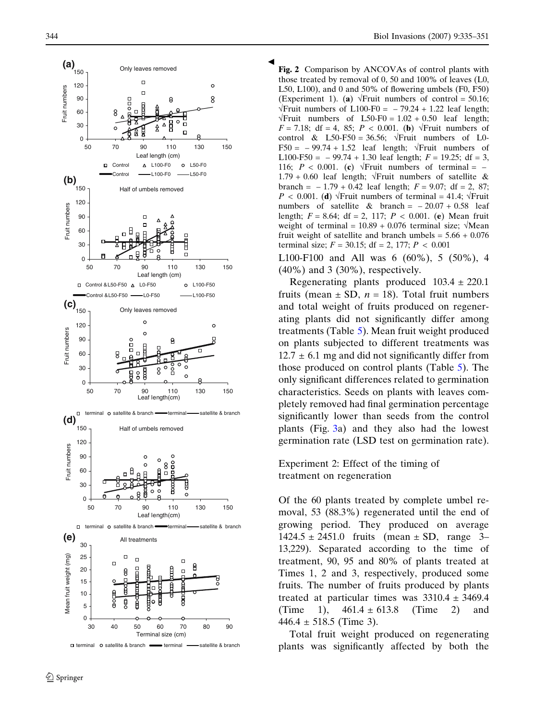<span id="page-9-0"></span>

 $\Box$  terminal  $\circ$  satellite & branch  $\equiv$  terminal  $\equiv$  satellite & branch

Fig. 2 Comparison by ANCOVAs of control plants with those treated by removal of 0, 50 and 100% of leaves (L0, L50, L100), and 0 and 50% of flowering umbels (F0, F50) (Experiment 1). (a)  $\sqrt{$ Fruit numbers of control = 50.16;  $\sqrt{$ Fruit numbers of L100-F0 = -79.24 + 1.22 leaf length;  $\sqrt{$ Fruit numbers of L50-F0 = 1.02 + 0.50 leaf length;  $F = 7.18$ ; df = 4, 85;  $P < 0.001$ . (b)  $\sqrt{F}$ ruit numbers of control & L50-F50 = 36.56;  $\sqrt{$ Fruit numbers of L0-F50 =  $-99.74 + 1.52$  leaf length;  $\sqrt{$ Fruit numbers of L100-F50 =  $-99.74 + 1.30$  leaf length;  $F = 19.25$ ; df = 3, 116;  $P < 0.001$ . (c)  $\sqrt{$ Fruit numbers of terminal = –  $1.79 + 0.60$  leaf length;  $\sqrt{}$  Fruit numbers of satellite & branch =  $-1.79 + 0.42$  leaf length;  $F = 9.07$ ; df = 2, 87;  $P < 0.001$ . (d)  $\sqrt{$ Fruit numbers of terminal = 41.4;  $\sqrt{}$ Fruit numbers of satellite & branch =  $-20.07 + 0.58$  leaf length;  $F = 8.64$ ; df = 2, 117;  $P < 0.001$ . (e) Mean fruit weight of terminal =  $10.89 + 0.076$  terminal size;  $\sqrt{\text{Mean}}$ fruit weight of satellite and branch umbels =  $5.66 + 0.076$ terminal size;  $F = 30.15$ ; df = 2, 177;  $P < 0.001$ 

*b*

L100-F100 and All was 6 (60%), 5 (50%), 4 (40%) and 3 (30%), respectively.

Regenerating plants produced  $103.4 \pm 220.1$ fruits (mean  $\pm$  SD,  $n = 18$ ). Total fruit numbers and total weight of fruits produced on regenerating plants did not significantly differ among treatments (Table [5\)](#page-11-0). Mean fruit weight produced on plants subjected to different treatments was  $12.7 \pm 6.1$  mg and did not significantly differ from those produced on control plants (Table [5](#page-11-0)). The only significant differences related to germination characteristics. Seeds on plants with leaves completely removed had final germination percentage significantly lower than seeds from the control plants (Fig. [3a](#page-10-0)) and they also had the lowest germination rate (LSD test on germination rate).

Experiment 2: Effect of the timing of treatment on regeneration

Of the 60 plants treated by complete umbel removal, 53 (88.3%) regenerated until the end of growing period. They produced on average  $1424.5 \pm 2451.0$  fruits (mean  $\pm$  SD, range 3– 13,229). Separated according to the time of treatment, 90, 95 and 80% of plants treated at Times 1, 2 and 3, respectively, produced some fruits. The number of fruits produced by plants treated at particular times was  $3310.4 \pm 3469.4$ (Time 1),  $461.4 \pm 613.8$  (Time 2) and  $446.4 \pm 518.5$  (Time 3).

Total fruit weight produced on regenerating plants was significantly affected by both the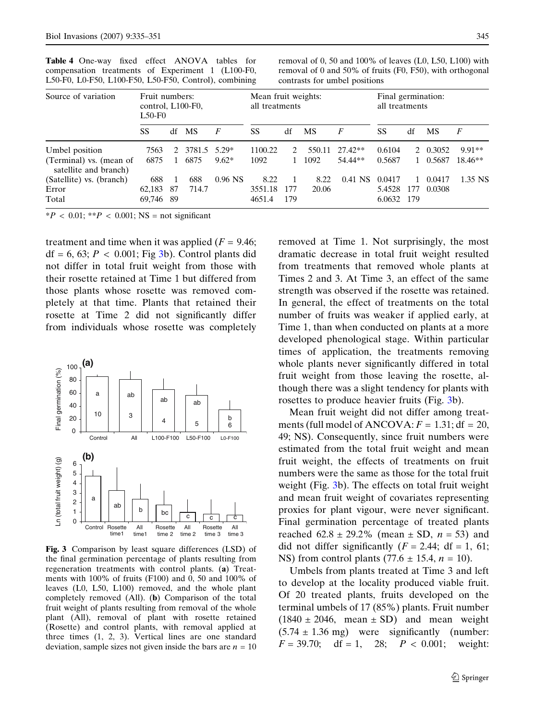| E30-P0, E0-P30, E100-P30, E30-P30, Control), Combining             |                                                 |     |                      |           |                                       |     |                | contrasts for univer positions |                                      |     |                      |                       |
|--------------------------------------------------------------------|-------------------------------------------------|-----|----------------------|-----------|---------------------------------------|-----|----------------|--------------------------------|--------------------------------------|-----|----------------------|-----------------------|
| Source of variation                                                | Fruit numbers:<br>control, L100-F0,<br>$L50-F0$ |     |                      |           | Mean fruit weights:<br>all treatments |     |                |                                | Final germination:<br>all treatments |     |                      |                       |
|                                                                    | SS                                              |     | df MS                | F         | SS                                    | df  | <b>MS</b>      | F                              | SS                                   | df  | МS                   | F                     |
| Umbel position<br>(Terminal) vs. (mean of<br>satellite and branch) | 7563<br>6875                                    | 2   | 3781.5 5.29*<br>6875 | $9.62*$   | 1100.22<br>1092                       |     | 550.11<br>1092 | 27.42**<br>54.44**             | 0.6104<br>0.5687                     |     | 2 0.3052<br>1 0.5687 | $9.91**$<br>$18.46**$ |
| (Satellite) vs. (branch)<br>Error                                  | 688<br>62.183                                   | -87 | 688<br>714.7         | $0.96$ NS | 8.22<br>3551.18                       | 177 | 8.22<br>20.06  | $0.41$ NS                      | 0.0417<br>5.4528                     | 177 | 0.0417<br>0.0308     | 1.35 NS               |

Total 69,746 89 4651.4 179 6.0632 179

<span id="page-10-0"></span>Table 4 One-way fixed effect ANOVA tables for compensation treatments of Experiment 1 (L100-F0,  $L$  50 F0, L0 F50, L100 F50, L50 F50, Control), combining

removal of 0, 50 and 100% of leaves (L0, L50, L100) with removal of 0 and 50% of fruits (F0, F50), with orthogonal contrasts for umbel positions

 $*P < 0.01$ ;  $*P < 0.001$ ; NS = not significant

treatment and time when it was applied  $(F = 9.46;$  $df = 6, 63; P < 0.001; Fig 3b$ . Control plants did not differ in total fruit weight from those with their rosette retained at Time 1 but differed from those plants whose rosette was removed completely at that time. Plants that retained their rosette at Time 2 did not significantly differ from individuals whose rosette was completely



Fig. 3 Comparison by least square differences (LSD) of the final germination percentage of plants resulting from regeneration treatments with control plants. (a) Treatments with 100% of fruits (F100) and 0, 50 and 100% of leaves (L0, L50, L100) removed, and the whole plant completely removed (All). (b) Comparison of the total fruit weight of plants resulting from removal of the whole plant (All), removal of plant with rosette retained (Rosette) and control plants, with removal applied at three times (1, 2, 3). Vertical lines are one standard deviation, sample sizes not given inside the bars are  $n = 10$ 

removed at Time 1. Not surprisingly, the most dramatic decrease in total fruit weight resulted from treatments that removed whole plants at Times 2 and 3. At Time 3, an effect of the same strength was observed if the rosette was retained. In general, the effect of treatments on the total number of fruits was weaker if applied early, at Time 1, than when conducted on plants at a more developed phenological stage. Within particular times of application, the treatments removing whole plants never significantly differed in total fruit weight from those leaving the rosette, although there was a slight tendency for plants with rosettes to produce heavier fruits (Fig. 3b).

Mean fruit weight did not differ among treatments (full model of ANCOVA:  $F = 1.31$ ; df = 20, 49; NS). Consequently, since fruit numbers were estimated from the total fruit weight and mean fruit weight, the effects of treatments on fruit numbers were the same as those for the total fruit weight (Fig. 3b). The effects on total fruit weight and mean fruit weight of covariates representing proxies for plant vigour, were never significant. Final germination percentage of treated plants reached  $62.8 \pm 29.2\%$  (mean  $\pm$  SD,  $n = 53$ ) and did not differ significantly  $(F = 2.44; df = 1, 61;$ NS) from control plants  $(77.6 \pm 15.4, n = 10)$ .

Umbels from plants treated at Time 3 and left to develop at the locality produced viable fruit. Of 20 treated plants, fruits developed on the terminal umbels of 17 (85%) plants. Fruit number  $(1840 \pm 2046, \text{ mean } \pm \text{ SD})$  and mean weight  $(5.74 \pm 1.36 \text{ mg})$  were significantly (number:  $F = 39.70$ ; df = 1, 28;  $P < 0.001$ ; weight: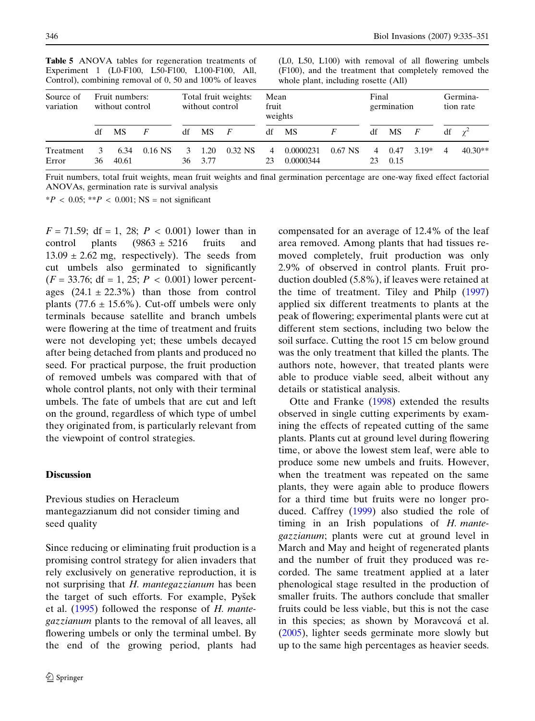| Source of<br>variation |    | Fruit numbers:<br>without control |           |         | without control | Total fruit weights: | Mean<br>fruit<br>weights |                        |           | Final   | germination  |                | Germina-<br>tion rate |            |
|------------------------|----|-----------------------------------|-----------|---------|-----------------|----------------------|--------------------------|------------------------|-----------|---------|--------------|----------------|-----------------------|------------|
|                        | df | <b>MS</b>                         |           | df      | <b>MS</b>       | F                    | df                       | MS                     |           | df      | MS           | $\overline{F}$ | df                    | $\gamma^2$ |
| Treatment<br>Error     | 36 | 6.34<br>40.61                     | $0.16$ NS | 3<br>36 | 1.20<br>3.77    | $0.32$ NS            | 4<br>23                  | 0.0000231<br>0.0000344 | $0.67$ NS | 4<br>23 | 0.47<br>0.15 | $3.19*$        | 4                     | $40.30**$  |

<span id="page-11-0"></span>Table 5 ANOVA tables for regeneration treatments of Experiment 1 (L0-F100, L50-F100, L100-F100, All, Control), combining removal of 0, 50 and 100% of leaves

(L0, L50, L100) with removal of all flowering umbels (F100), and the treatment that completely removed the whole plant, including rosette (All)

Fruit numbers, total fruit weights, mean fruit weights and final germination percentage are one-way fixed effect factorial ANOVAs, germination rate is survival analysis

 $*P < 0.05$ ;  $*P < 0.001$ ; NS = not significant

 $F = 71.59$ ; df = 1, 28;  $P < 0.001$ ) lower than in control plants  $(9863 \pm 5216$  fruits and  $13.09 \pm 2.62$  mg, respectively). The seeds from cut umbels also germinated to significantly  $(F = 33.76; df = 1, 25; P < 0.001)$  lower percentages  $(24.1 \pm 22.3\%)$  than those from control plants (77.6  $\pm$  15.6%). Cut-off umbels were only terminals because satellite and branch umbels were flowering at the time of treatment and fruits were not developing yet; these umbels decayed after being detached from plants and produced no seed. For practical purpose, the fruit production of removed umbels was compared with that of whole control plants, not only with their terminal umbels. The fate of umbels that are cut and left on the ground, regardless of which type of umbel they originated from, is particularly relevant from the viewpoint of control strategies.

#### **Discussion**

Previous studies on Heracleum mantegazzianum did not consider timing and seed quality

Since reducing or eliminating fruit production is a promising control strategy for alien invaders that rely exclusively on generative reproduction, it is not surprising that H. mantegazzianum has been the target of such efforts. For example, Pysek et al.  $(1995)$  $(1995)$  $(1995)$  followed the response of H. mantegazzianum plants to the removal of all leaves, all flowering umbels or only the terminal umbel. By the end of the growing period, plants had compensated for an average of 12.4% of the leaf area removed. Among plants that had tissues removed completely, fruit production was only 2.9% of observed in control plants. Fruit production doubled (5.8%), if leaves were retained at the time of treatment. Tiley and Philp ([1997](#page-16-0)) applied six different treatments to plants at the peak of flowering; experimental plants were cut at different stem sections, including two below the soil surface. Cutting the root 15 cm below ground was the only treatment that killed the plants. The authors note, however, that treated plants were able to produce viable seed, albeit without any details or statistical analysis.

Otte and Franke ([1998\)](#page-16-0) extended the results observed in single cutting experiments by examining the effects of repeated cutting of the same plants. Plants cut at ground level during flowering time, or above the lowest stem leaf, were able to produce some new umbels and fruits. However, when the treatment was repeated on the same plants, they were again able to produce flowers for a third time but fruits were no longer produced. Caffrey ([1999\)](#page-15-0) also studied the role of timing in an Irish populations of H. mantegazzianum; plants were cut at ground level in March and May and height of regenerated plants and the number of fruit they produced was recorded. The same treatment applied at a later phenological stage resulted in the production of smaller fruits. The authors conclude that smaller fruits could be less viable, but this is not the case in this species; as shown by Moravcová et al. ([2005\)](#page-16-0), lighter seeds germinate more slowly but up to the same high percentages as heavier seeds.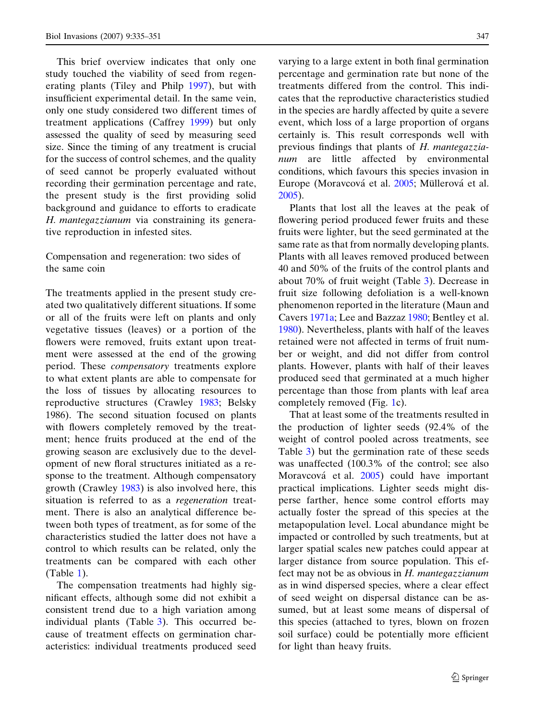This brief overview indicates that only one study touched the viability of seed from regenerating plants (Tiley and Philp [1997\)](#page-16-0), but with insufficient experimental detail. In the same vein, only one study considered two different times of treatment applications (Caffrey [1999](#page-15-0)) but only assessed the quality of seed by measuring seed size. Since the timing of any treatment is crucial for the success of control schemes, and the quality of seed cannot be properly evaluated without recording their germination percentage and rate, the present study is the first providing solid background and guidance to efforts to eradicate H. mantegazzianum via constraining its generative reproduction in infested sites.

Compensation and regeneration: two sides of the same coin

The treatments applied in the present study created two qualitatively different situations. If some or all of the fruits were left on plants and only vegetative tissues (leaves) or a portion of the flowers were removed, fruits extant upon treatment were assessed at the end of the growing period. These compensatory treatments explore to what extent plants are able to compensate for the loss of tissues by allocating resources to reproductive structures (Crawley [1983;](#page-15-0) Belsky 1986). The second situation focused on plants with flowers completely removed by the treatment; hence fruits produced at the end of the growing season are exclusively due to the development of new floral structures initiated as a response to the treatment. Although compensatory growth (Crawley [1983\)](#page-15-0) is also involved here, this situation is referred to as a regeneration treatment. There is also an analytical difference between both types of treatment, as for some of the characteristics studied the latter does not have a control to which results can be related, only the treatments can be compared with each other (Table [1\)](#page-5-0).

The compensation treatments had highly significant effects, although some did not exhibit a consistent trend due to a high variation among individual plants (Table [3\)](#page-8-0). This occurred because of treatment effects on germination characteristics: individual treatments produced seed

varying to a large extent in both final germination percentage and germination rate but none of the treatments differed from the control. This indicates that the reproductive characteristics studied in the species are hardly affected by quite a severe event, which loss of a large proportion of organs certainly is. This result corresponds well with previous findings that plants of H. mantegazzianum are little affected by environmental conditions, which favours this species invasion in Europe (Moravcová et al. [2005](#page-16-0); Müllerová et al. [2005\)](#page-16-0).

Plants that lost all the leaves at the peak of flowering period produced fewer fruits and these fruits were lighter, but the seed germinated at the same rate as that from normally developing plants. Plants with all leaves removed produced between 40 and 50% of the fruits of the control plants and about 70% of fruit weight (Table [3\)](#page-8-0). Decrease in fruit size following defoliation is a well-known phenomenon reported in the literature (Maun and Cavers [1971a](#page-15-0); Lee and Bazzaz [1980](#page-15-0); Bentley et al. [1980\)](#page-15-0). Nevertheless, plants with half of the leaves retained were not affected in terms of fruit number or weight, and did not differ from control plants. However, plants with half of their leaves produced seed that germinated at a much higher percentage than those from plants with leaf area completely removed (Fig. [1](#page-7-0)c).

That at least some of the treatments resulted in the production of lighter seeds (92.4% of the weight of control pooled across treatments, see Table [3](#page-8-0)) but the germination rate of these seeds was unaffected (100.3% of the control; see also Moravcová et al. [2005\)](#page-16-0) could have important practical implications. Lighter seeds might disperse farther, hence some control efforts may actually foster the spread of this species at the metapopulation level. Local abundance might be impacted or controlled by such treatments, but at larger spatial scales new patches could appear at larger distance from source population. This effect may not be as obvious in  $H$ . mantegazzianum as in wind dispersed species, where a clear effect of seed weight on dispersal distance can be assumed, but at least some means of dispersal of this species (attached to tyres, blown on frozen soil surface) could be potentially more efficient for light than heavy fruits.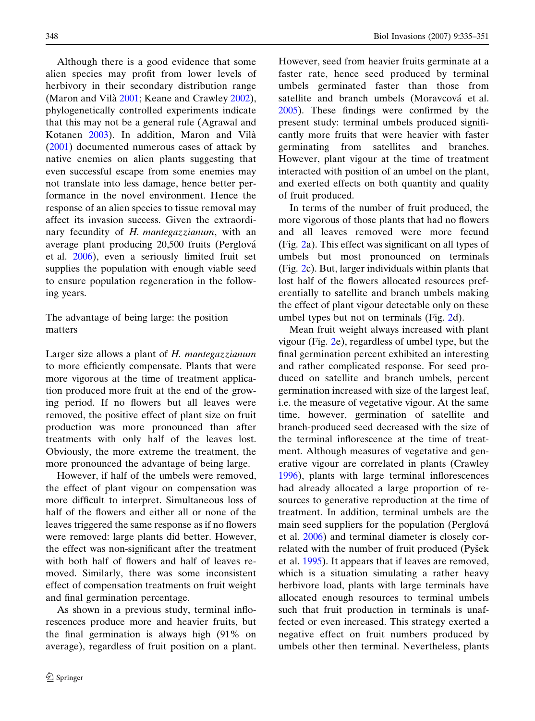Although there is a good evidence that some alien species may profit from lower levels of herbivory in their secondary distribution range (Maron and Vilà [2001](#page-15-0); Keane and Crawley [2002\)](#page-15-0), phylogenetically controlled experiments indicate that this may not be a general rule (Agrawal and Kotanen [2003](#page-15-0)). In addition, Maron and Vila` ([2001\)](#page-15-0) documented numerous cases of attack by native enemies on alien plants suggesting that even successful escape from some enemies may not translate into less damage, hence better performance in the novel environment. Hence the response of an alien species to tissue removal may affect its invasion success. Given the extraordinary fecundity of H. mantegazzianum, with an average plant producing 20,500 fruits (Perglová et al. [2006\)](#page-16-0), even a seriously limited fruit set supplies the population with enough viable seed to ensure population regeneration in the following years.

The advantage of being large: the position matters

Larger size allows a plant of H. mantegazzianum to more efficiently compensate. Plants that were more vigorous at the time of treatment application produced more fruit at the end of the growing period. If no flowers but all leaves were removed, the positive effect of plant size on fruit production was more pronounced than after treatments with only half of the leaves lost. Obviously, the more extreme the treatment, the more pronounced the advantage of being large.

However, if half of the umbels were removed, the effect of plant vigour on compensation was more difficult to interpret. Simultaneous loss of half of the flowers and either all or none of the leaves triggered the same response as if no flowers were removed: large plants did better. However, the effect was non-significant after the treatment with both half of flowers and half of leaves removed. Similarly, there was some inconsistent effect of compensation treatments on fruit weight and final germination percentage.

As shown in a previous study, terminal inflorescences produce more and heavier fruits, but the final germination is always high (91% on average), regardless of fruit position on a plant. However, seed from heavier fruits germinate at a faster rate, hence seed produced by terminal umbels germinated faster than those from satellite and branch umbels (Moravcová et al. [2005\)](#page-16-0). These findings were confirmed by the present study: terminal umbels produced significantly more fruits that were heavier with faster germinating from satellites and branches. However, plant vigour at the time of treatment interacted with position of an umbel on the plant, and exerted effects on both quantity and quality of fruit produced.

In terms of the number of fruit produced, the more vigorous of those plants that had no flowers and all leaves removed were more fecund (Fig. [2](#page-9-0)a). This effect was significant on all types of umbels but most pronounced on terminals (Fig. [2](#page-9-0)c). But, larger individuals within plants that lost half of the flowers allocated resources preferentially to satellite and branch umbels making the effect of plant vigour detectable only on these umbel types but not on terminals (Fig. [2](#page-9-0)d).

Mean fruit weight always increased with plant vigour (Fig. [2e](#page-9-0)), regardless of umbel type, but the final germination percent exhibited an interesting and rather complicated response. For seed produced on satellite and branch umbels, percent germination increased with size of the largest leaf, i.e. the measure of vegetative vigour. At the same time, however, germination of satellite and branch-produced seed decreased with the size of the terminal inflorescence at the time of treatment. Although measures of vegetative and generative vigour are correlated in plants (Crawley [1996\)](#page-15-0), plants with large terminal inflorescences had already allocated a large proportion of resources to generative reproduction at the time of treatment. In addition, terminal umbels are the main seed suppliers for the population (Perglová et al. [2006](#page-16-0)) and terminal diameter is closely correlated with the number of fruit produced (Pyšek et al. [1995](#page-16-0)). It appears that if leaves are removed, which is a situation simulating a rather heavy herbivore load, plants with large terminals have allocated enough resources to terminal umbels such that fruit production in terminals is unaffected or even increased. This strategy exerted a negative effect on fruit numbers produced by umbels other then terminal. Nevertheless, plants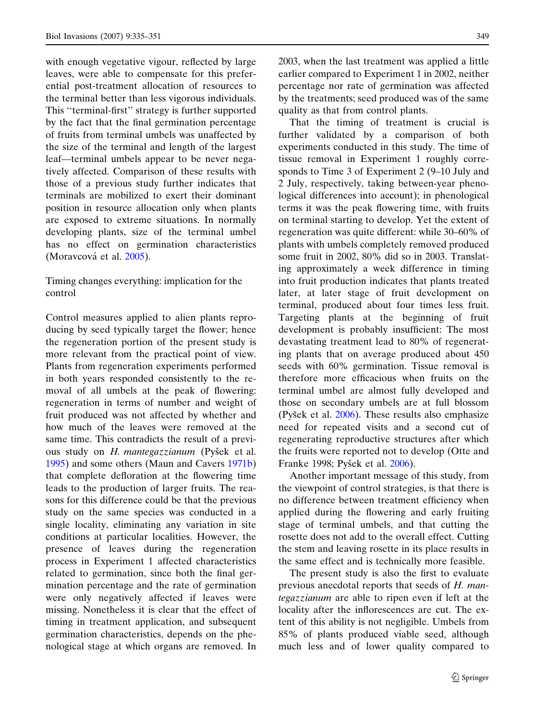with enough vegetative vigour, reflected by large leaves, were able to compensate for this preferential post-treatment allocation of resources to the terminal better than less vigorous individuals. This ''terminal-first'' strategy is further supported by the fact that the final germination percentage of fruits from terminal umbels was unaffected by the size of the terminal and length of the largest leaf—terminal umbels appear to be never negatively affected. Comparison of these results with those of a previous study further indicates that terminals are mobilized to exert their dominant position in resource allocation only when plants are exposed to extreme situations. In normally developing plants, size of the terminal umbel has no effect on germination characteristics (Moravcová et al. [2005\)](#page-16-0).

# Timing changes everything: implication for the control

Control measures applied to alien plants reproducing by seed typically target the flower; hence the regeneration portion of the present study is more relevant from the practical point of view. Plants from regeneration experiments performed in both years responded consistently to the removal of all umbels at the peak of flowering: regeneration in terms of number and weight of fruit produced was not affected by whether and how much of the leaves were removed at the same time. This contradicts the result of a previous study on *H. mantegazzianum* (Pyšek et al. [1995\)](#page-16-0) and some others (Maun and Cavers [1971b](#page-15-0)) that complete defloration at the flowering time leads to the production of larger fruits. The reasons for this difference could be that the previous study on the same species was conducted in a single locality, eliminating any variation in site conditions at particular localities. However, the presence of leaves during the regeneration process in Experiment 1 affected characteristics related to germination, since both the final germination percentage and the rate of germination were only negatively affected if leaves were missing. Nonetheless it is clear that the effect of timing in treatment application, and subsequent germination characteristics, depends on the phenological stage at which organs are removed. In 2003, when the last treatment was applied a little earlier compared to Experiment 1 in 2002, neither percentage nor rate of germination was affected by the treatments; seed produced was of the same quality as that from control plants.

That the timing of treatment is crucial is further validated by a comparison of both experiments conducted in this study. The time of tissue removal in Experiment 1 roughly corresponds to Time 3 of Experiment 2 (9–10 July and 2 July, respectively, taking between-year phenological differences into account); in phenological terms it was the peak flowering time, with fruits on terminal starting to develop. Yet the extent of regeneration was quite different: while 30–60% of plants with umbels completely removed produced some fruit in 2002, 80% did so in 2003. Translating approximately a week difference in timing into fruit production indicates that plants treated later, at later stage of fruit development on terminal, produced about four times less fruit. Targeting plants at the beginning of fruit development is probably insufficient: The most devastating treatment lead to 80% of regenerating plants that on average produced about 450 seeds with 60% germination. Tissue removal is therefore more efficacious when fruits on the terminal umbel are almost fully developed and those on secondary umbels are at full blossom (Pyšek et al.  $2006$ ). These results also emphasize need for repeated visits and a second cut of regenerating reproductive structures after which the fruits were reported not to develop (Otte and Franke 1998; Pyšek et al. [2006\)](#page-16-0).

Another important message of this study, from the viewpoint of control strategies, is that there is no difference between treatment efficiency when applied during the flowering and early fruiting stage of terminal umbels, and that cutting the rosette does not add to the overall effect. Cutting the stem and leaving rosette in its place results in the same effect and is technically more feasible.

The present study is also the first to evaluate previous anecdotal reports that seeds of H. mantegazzianum are able to ripen even if left at the locality after the inflorescences are cut. The extent of this ability is not negligible. Umbels from 85% of plants produced viable seed, although much less and of lower quality compared to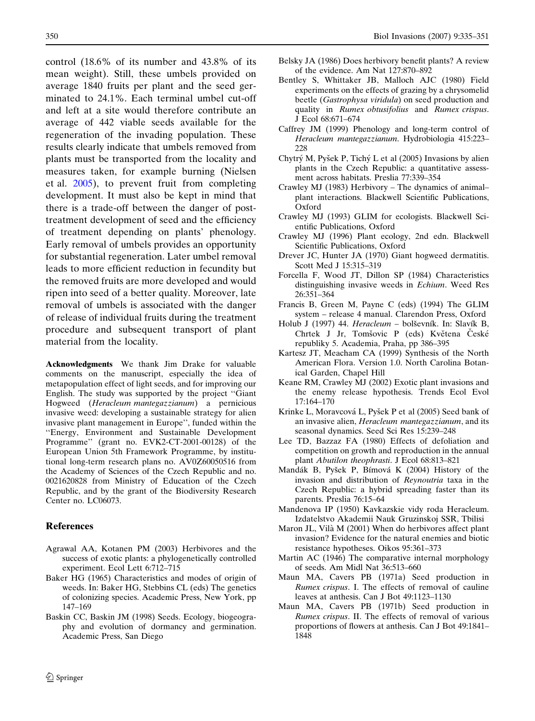<span id="page-15-0"></span>control (18.6% of its number and 43.8% of its mean weight). Still, these umbels provided on average 1840 fruits per plant and the seed germinated to 24.1%. Each terminal umbel cut-off and left at a site would therefore contribute an average of 442 viable seeds available for the regeneration of the invading population. These results clearly indicate that umbels removed from plants must be transported from the locality and measures taken, for example burning (Nielsen et al. [2005\)](#page-16-0), to prevent fruit from completing development. It must also be kept in mind that there is a trade-off between the danger of posttreatment development of seed and the efficiency of treatment depending on plants' phenology. Early removal of umbels provides an opportunity for substantial regeneration. Later umbel removal leads to more efficient reduction in fecundity but the removed fruits are more developed and would ripen into seed of a better quality. Moreover, late removal of umbels is associated with the danger of release of individual fruits during the treatment procedure and subsequent transport of plant material from the locality.

Acknowledgments We thank Jim Drake for valuable comments on the manuscript, especially the idea of metapopulation effect of light seeds, and for improving our English. The study was supported by the project ''Giant Hogweed (Heracleum mantegazzianum) a pernicious invasive weed: developing a sustainable strategy for alien invasive plant management in Europe'', funded within the ''Energy, Environment and Sustainable Development Programme'' (grant no. EVK2-CT-2001-00128) of the European Union 5th Framework Programme, by institutional long-term research plans no. AV0Z60050516 from the Academy of Sciences of the Czech Republic and no. 0021620828 from Ministry of Education of the Czech Republic, and by the grant of the Biodiversity Research Center no. LC06073.

### **References**

- Agrawal AA, Kotanen PM (2003) Herbivores and the success of exotic plants: a phylogenetically controlled experiment. Ecol Lett 6:712–715
- Baker HG (1965) Characteristics and modes of origin of weeds. In: Baker HG, Stebbins CL (eds) The genetics of colonizing species. Academic Press, New York, pp 147–169
- Baskin CC, Baskin JM (1998) Seeds. Ecology, biogeography and evolution of dormancy and germination. Academic Press, San Diego
- Belsky JA (1986) Does herbivory benefit plants? A review of the evidence. Am Nat 127:870–892
- Bentley S, Whittaker JB, Malloch AJC (1980) Field experiments on the effects of grazing by a chrysomelid beetle (Gastrophysa viridula) on seed production and quality in Rumex obtusifolius and Rumex crispus. J Ecol 68:671–674
- Caffrey JM (1999) Phenology and long-term control of Heracleum mantegazzianum. Hydrobiologia 415:223– 228
- Chytrý M, Pyšek P, Tichý L et al (2005) Invasions by alien plants in the Czech Republic: a quantitative assessment across habitats. Preslia 77:339–354
- Crawley MJ (1983) Herbivory The dynamics of animal– plant interactions. Blackwell Scientific Publications, Oxford
- Crawley MJ (1993) GLIM for ecologists. Blackwell Scientific Publications, Oxford
- Crawley MJ (1996) Plant ecology, 2nd edn. Blackwell Scientific Publications, Oxford
- Drever JC, Hunter JA (1970) Giant hogweed dermatitis. Scott Med J 15:315–319
- Forcella F, Wood JT, Dillon SP (1984) Characteristics distinguishing invasive weeds in Echium. Weed Res 26:351–364
- Francis B, Green M, Payne C (eds) (1994) The GLIM system – release 4 manual. Clarendon Press, Oxford
- Holub J (1997) 44. Heracleum bolševník. In: Slavík B, Chrtek J Jr, Tomšovic P (eds) Květena České republiky 5. Academia, Praha, pp 386–395
- Kartesz JT, Meacham CA (1999) Synthesis of the North American Flora. Version 1.0. North Carolina Botanical Garden, Chapel Hill
- Keane RM, Crawley MJ (2002) Exotic plant invasions and the enemy release hypothesis. Trends Ecol Evol 17:164–170
- Krinke L, Moravcová L, Pyšek P et al (2005) Seed bank of an invasive alien, Heracleum mantegazzianum, and its seasonal dynamics. Seed Sci Res 15:239–248
- Lee TD, Bazzaz FA (1980) Effects of defoliation and competition on growth and reproduction in the annual plant Abutilon theophrasti. J Ecol 68:813–821
- Mandák B, Pyšek P, Bímová K (2004) History of the invasion and distribution of Reynoutria taxa in the Czech Republic: a hybrid spreading faster than its parents. Preslia 76:15–64
- Mandenova IP (1950) Kavkazskie vidy roda Heracleum. Izdatelstvo Akademii Nauk Gruzinskoj SSR, Tbilisi
- Maron JL, Vilà M (2001) When do herbivores affect plant invasion? Evidence for the natural enemies and biotic resistance hypotheses. Oikos 95:361–373
- Martin AC (1946) The comparative internal morphology of seeds. Am Midl Nat 36:513–660
- Maun MA, Cavers PB (1971a) Seed production in Rumex crispus. I. The effects of removal of cauline leaves at anthesis. Can J Bot 49:1123–1130
- Maun MA, Cavers PB (1971b) Seed production in Rumex crispus. II. The effects of removal of various proportions of flowers at anthesis. Can J Bot 49:1841– 1848